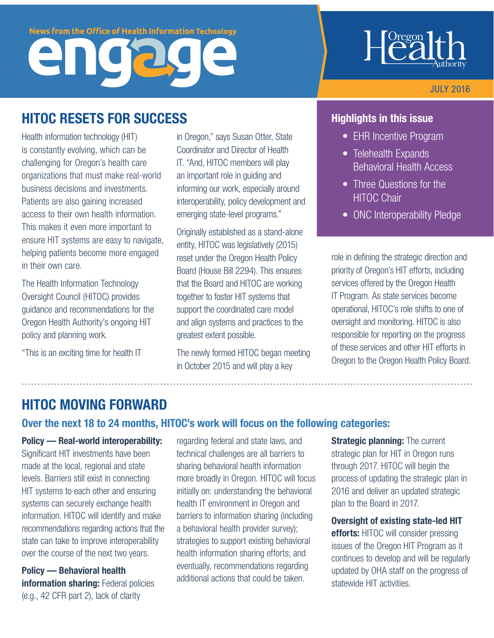**News from the Office of Health Information Technology** 



### **HITOC RESETS FOR SUCCESS HITOC RESETS FOR SUCCESS**

Health information technology (HIT) is constantly evolving, which can be challenging for Oregon's health care organizations that must make real-world business decisions and investments. Patients are also gaining increased access to their own health information. This makes it even more important to ensure HIT systems are easy to navigate, helping patients become more engaged in their own care.

The Health Information Technology Oversight Council (HITOC) provides guidance and recommendations for the Oregon Health Authority's ongoing HIT policy and planning work.

"This is an exciting time for health IT

in Oregon," says Susan Otter, State Coordinator and Director of Health IT. "And, HITOC members will play an important role in guiding and informing our work, especially around interoperability, policy development and emerging state-level programs."

Originally established as a stand-alone entity, HITOC was legislatively (2015) reset under the Oregon Health Policy Board (House Bill 2294). This ensures that the Board and HITOC are working together to foster HIT systems that support the coordinated care model and align systems and practices to the greatest extent possible.

The newly formed HITOC began meeting in October 2015 and will play a key



#### JULY 2016

- EHR Incentive Program
- Telehealth Expands Behavioral Health Access
- Three Questions for the HITOC Chair
- ONC Interoperability Pledge

role in defining the strategic direction and priority of Oregon's HIT efforts, including services offered by the Oregon Health IT Program. As state services become operational, HITOC's role shifts to one of oversight and monitoring. HITOC is also responsible for reporting on the progress of these services and other HIT efforts in Oregon to the Oregon Health Policy Board.

# HITOC MOVING FORWARD

### Over the next 18 to 24 months, HITOC's work will focus on the following categories:

Policy — Real-world interoperability: Significant HIT investments have been made at the local, regional and state levels. Barriers still exist in connecting HIT systems to each other and ensuring systems can securely exchange health information. HITOC will identify and make recommendations regarding actions that the state can take to improve interoperability over the course of the next two years.

Policy — Behavioral health information sharing: Federal policies (e.g., 42 CFR part 2), lack of clarity

regarding federal and state laws, and technical challenges are all barriers to sharing behavioral health information more broadly in Oregon. HITOC will focus initially on: understanding the behavioral health IT environment in Oregon and barriers to information sharing (including a behavioral health provider survey); strategies to support existing behavioral health information sharing efforts; and eventually, recommendations regarding additional actions that could be taken.

**Strategic planning: The current** strategic plan for HIT in Oregon runs through 2017. HITOC will begin the process of updating the strategic plan in 2016 and deliver an updated strategic plan to the Board in 2017.

Oversight of existing state-led HIT efforts: HITOC will consider pressing issues of the Oregon HIT Program as it continues to develop and will be regularly updated by OHA staff on the progress of statewide HIT activities.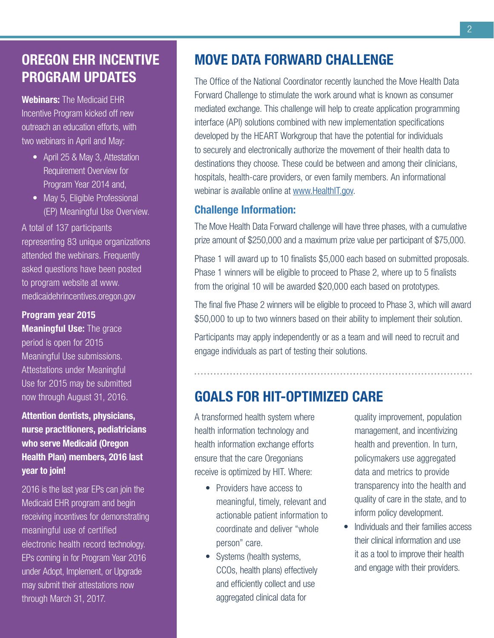## OREGON EHR INCENTIVE PROGRAM UPDATES

Webinars: The Medicaid EHR Incentive Program kicked off new outreach an education efforts, with two webinars in April and May:

- April 25 & May 3, Attestation Requirement Overview for Program Year 2014 and,
- May 5, Eligible Professional (EP) Meaningful Use Overview.

A total of 137 participants representing 83 unique organizations attended the webinars. Frequently asked questions have been posted to program website at www. medicaidehrincentives.oregon.gov

#### Program year 2015

**Meaningful Use: The grace** period is open for 2015 Meaningful Use submissions. Attestations under Meaningful Use for 2015 may be submitted now through August 31, 2016.

Attention dentists, physicians, nurse practitioners, pediatricians who serve Medicaid (Oregon Health Plan) members, 2016 last year to join!

2016 is the last year EPs can join the Medicaid EHR program and begin receiving incentives for demonstrating meaningful use of certified electronic health record technology. EPs coming in for Program Year 2016 under Adopt, Implement, or Upgrade may submit their attestations now through March 31, 2017.

### MOVE DATA FORWARD CHALLENGE

The Office of the National Coordinator recently launched the Move Health Data Forward Challenge to stimulate the work around what is known as consumer mediated exchange. This challenge will help to create application programming interface (API) solutions combined with new implementation specifications developed by the HEART Workgroup that have the potential for individuals to securely and electronically authorize the movement of their health data to destinations they choose. These could be between and among their clinicians, hospitals, health-care providers, or even family members. An informational webinar is available online at [www.HealthIT.gov.](https://www.healthit.gov/techlab/innovation/move-health-data-forward-challenge)

#### Challenge Information:

The Move Health Data Forward challenge will have three phases, with a cumulative prize amount of \$250,000 and a maximum prize value per participant of \$75,000.

Phase 1 will award up to 10 finalists \$5,000 each based on submitted proposals. Phase 1 winners will be eligible to proceed to Phase 2, where up to 5 finalists from the original 10 will be awarded \$20,000 each based on prototypes.

The final five Phase 2 winners will be eligible to proceed to Phase 3, which will award \$50,000 to up to two winners based on their ability to implement their solution.

Participants may apply independently or as a team and will need to recruit and engage individuals as part of testing their solutions.

### GOALS FOR HIT-OPTIMIZED CARE

A transformed health system where health information technology and health information exchange efforts ensure that the care Oregonians receive is optimized by HIT. Where:

- Providers have access to meaningful, timely, relevant and actionable patient information to coordinate and deliver "whole person" care.
- Systems (health systems, CCOs, health plans) effectively and efficiently collect and use aggregated clinical data for

quality improvement, population management, and incentivizing health and prevention. In turn, policymakers use aggregated data and metrics to provide transparency into the health and quality of care in the state, and to inform policy development.

• Individuals and their families access their clinical information and use it as a tool to improve their health and engage with their providers.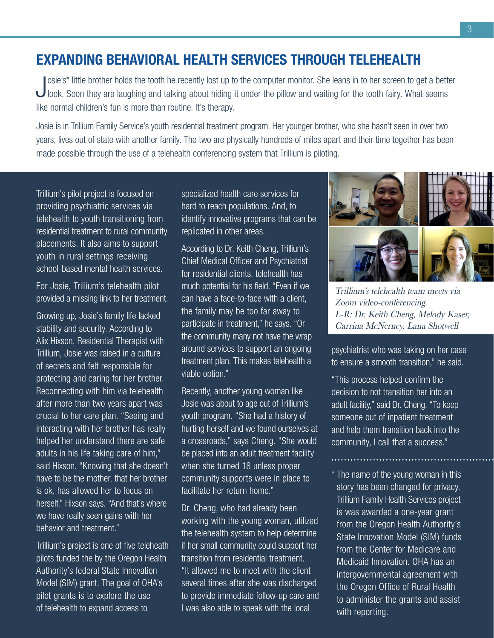### EXPANDING BEHAVIORAL HEALTH SERVICES THROUGH TELEHEALTH

Josie's\* little brother holds the tooth he recently lost up to the computer monitor. She leans in to her screen to get a better look. Soon they are laughing and talking about hiding it under the pillow and waiting for the osie's\* little brother holds the tooth he recently lost up to the computer monitor. She leans in to her screen to get a better like normal children's fun is more than routine. It's therapy.

Josie is in Trillium Family Service's youth residential treatment program. Her younger brother, who she hasn't seen in over two years, lives out of state with another family. The two are physically hundreds of miles apart and their time together has been made possible through the use of a telehealth conferencing system that Trillium is piloting.

Trillium's pilot project is focused on providing psychiatric services via telehealth to youth transitioning from residential treatment to rural community placements. It also aims to support youth in rural settings receiving school-based mental health services.

For Josie, Trillium's telehealth pilot provided a missing link to her treatment.

Growing up, Josie's family life lacked stability and security. According to Alix Hixson, Residential Therapist with Trillium, Josie was raised in a culture of secrets and felt responsible for protecting and caring for her brother. Reconnecting with him via telehealth after more than two years apart was crucial to her care plan. "Seeing and interacting with her brother has really helped her understand there are safe adults in his life taking care of him," said Hixson. "Knowing that she doesn't have to be the mother, that her brother is ok, has allowed her to focus on herself," Hixson says. "And that's where we have really seen gains with her behavior and treatment."

Trillium's project is one of five teleheath pilots funded the by the Oregon Health Authority's federal State Innovation Model (SIM) grant. The goal of OHA's pilot grants is to explore the use of telehealth to expand access to

specialized health care services for hard to reach populations. And, to identify innovative programs that can be replicated in other areas.

According to Dr. Keith Cheng, Trillium's Chief Medical Officer and Psychiatrist for residential clients, telehealth has much potential for his field. "Even if we can have a face-to-face with a client, the family may be too far away to participate in treatment," he says. "Or the community many not have the wrap around services to support an ongoing treatment plan. This makes telehealth a viable option."

Recently, another young woman like Josie was about to age out of Trillium's youth program. "She had a history of hurting herself and we found ourselves at a crossroads," says Cheng. "She would be placed into an adult treatment facility when she turned 18 unless proper community supports were in place to facilitate her return home."

Dr. Cheng, who had already been working with the young woman, utilized the telehealth system to help determine if her small community could support her transition from residential treatment. "It allowed me to meet with the client several times after she was discharged to provide immediate follow-up care and I was also able to speak with the local



Trillium's telehealth team meets via Zoom video-conferencing. L-R: Dr. Keith Cheng, Melody Kaser, Carrina McNerney, Lana Shotwell

psychiatrist who was taking on her case to ensure a smooth transition," he said.

"This process helped confirm the decision to not transition her into an adult facility," said Dr. Cheng. "To keep someone out of inpatient treatment and help them transition back into the community, I call that a success."

\* The name of the young woman in this story has been changed for privacy. Trillium Family Health Services project is was awarded a one-year grant from the Oregon Health Authority's State Innovation Model (SIM) funds from the Center for Medicare and Medicaid Innovation. OHA has an intergovernmental agreement with the Oregon Office of Rural Health to administer the grants and assist with reporting.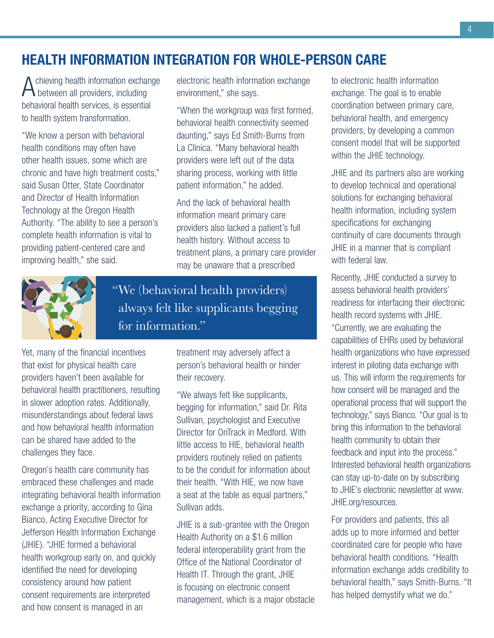### HEALTH INFORMATION INTEGRATION FOR WHOLE-PERSON CARE

A chieving health information exchange<br>between all providers, including behavioral health services, is essential to health system transformation.

"We know a person with behavioral health conditions may often have other health issues, some which are chronic and have high treatment costs," said Susan Otter, State Coordinator and Director of Health Information Technology at the Oregon Health Authority. "The ability to see a person's complete health information is vital to providing patient-centered care and improving health," she said.

electronic health information exchange environment," she says.

"When the workgroup was first formed, behavioral health connectivity seemed daunting," says Ed Smith-Burns from La Clinica. "Many behavioral health providers were left out of the data sharing process, working with little patient information," he added.

And the lack of behavioral health information meant primary care providers also lacked a patient's full health history. Without access to treatment plans, a primary care provider may be unaware that a prescribed



"We (behavioral health providers) always felt like supplicants begging for information."

Yet, many of the financial incentives that exist for physical health care providers haven't been available for behavioral health practitioners, resulting in slower adoption rates. Additionally, misunderstandings about federal laws and how behavioral health information can be shared have added to the challenges they face.

Oregon's health care community has embraced these challenges and made integrating behavioral health information exchange a priority, according to Gina Bianco, Acting Executive Director for Jefferson Health Information Exchange (JHIE). "JHIE formed a behavioral health workgroup early on, and quickly identified the need for developing consistency around how patient consent requirements are interpreted and how consent is managed in an

treatment may adversely affect a person's behavioral health or hinder their recovery.

"We always felt like supplicants, begging for information," said Dr. Rita Sullivan, psychologist and Executive Director for OnTrack in Medford. With little access to HIE, behavioral health providers routinely relied on patients to be the conduit for information about their health. "With HIE, we now have a seat at the table as equal partners," Sullivan adds.

JHIE is a sub-grantee with the Oregon Health Authority on a \$1.6 million federal interoperability grant from the Office of the National Coordinator of Health IT. Through the grant, JHIE is focusing on electronic consent management, which is a major obstacle to electronic health information exchange. The goal is to enable coordination between primary care, behavioral health, and emergency providers, by developing a common consent model that will be supported within the JHIE technology.

JHIE and its partners also are working to develop technical and operational solutions for exchanging behavioral health information, including system specifications for exchanging continuity of care documents through JHIE in a manner that is compliant with federal law.

Recently, JHIE conducted a survey to assess behavioral health providers' readiness for interfacing their electronic health record systems with JHIE. "Currently, we are evaluating the capabilities of EHRs used by behavioral health organizations who have expressed interest in piloting data exchange with us. This will inform the requirements for how consent will be managed and the operational process that will support the technology," says Bianco. "Our goal is to bring this information to the behavioral health community to obtain their feedback and input into the process." Interested behavioral health organizations can stay up-to-date on by subscribing to JHIE's electronic newsletter at www. JHIE.org/resources.

For providers and patients, this all adds up to more informed and better coordinated care for people who have behavioral health conditions. "Health information exchange adds credibility to behavioral health," says Smith-Burns. "It has helped demystify what we do."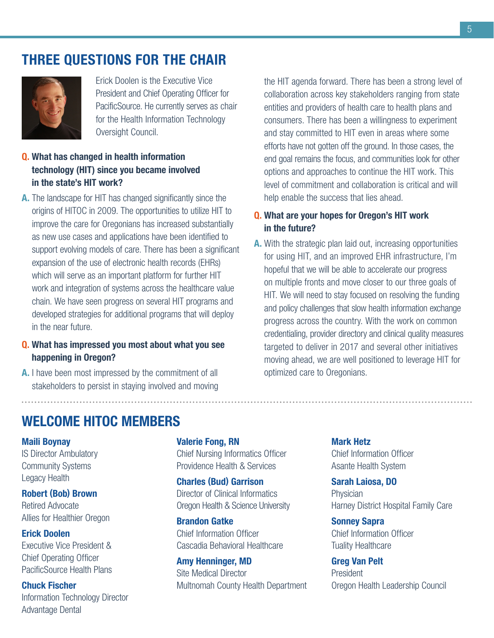### THREE QUESTIONS FOR THE CHAIR



Erick Doolen is the Executive Vice President and Chief Operating Officer for PacificSource. He currently serves as chair for the Health Information Technology Oversight Council.

### Q. What has changed in health information technology (HIT) since you became involved in the state's HIT work?

A. The landscape for HIT has changed significantly since the origins of HITOC in 2009. The opportunities to utilize HIT to improve the care for Oregonians has increased substantially as new use cases and applications have been identified to support evolving models of care. There has been a significant expansion of the use of electronic health records (EHRs) which will serve as an important platform for further HIT work and integration of systems across the healthcare value chain. We have seen progress on several HIT programs and developed strategies for additional programs that will deploy in the near future.

#### Q. What has impressed you most about what you see happening in Oregon?

A. I have been most impressed by the commitment of all stakeholders to persist in staying involved and moving the HIT agenda forward. There has been a strong level of collaboration across key stakeholders ranging from state entities and providers of health care to health plans and consumers. There has been a willingness to experiment and stay committed to HIT even in areas where some efforts have not gotten off the ground. In those cases, the end goal remains the focus, and communities look for other options and approaches to continue the HIT work. This level of commitment and collaboration is critical and will help enable the success that lies ahead.

#### Q. What are your hopes for Oregon's HIT work in the future?

A. With the strategic plan laid out, increasing opportunities for using HIT, and an improved EHR infrastructure, I'm hopeful that we will be able to accelerate our progress on multiple fronts and move closer to our three goals of HIT. We will need to stay focused on resolving the funding and policy challenges that slow health information exchange progress across the country. With the work on common credentialing, provider directory and clinical quality measures targeted to deliver in 2017 and several other initiatives moving ahead, we are well positioned to leverage HIT for optimized care to Oregonians.

WELCOME HITOC MEMBERS

Maili Boynay IS Director Ambulatory Community Systems Legacy Health

#### Robert (Bob) Brown

Retired Advocate Allies for Healthier Oregon

Erick Doolen Executive Vice President & Chief Operating Officer PacificSource Health Plans

Chuck Fischer Information Technology Director Advantage Dental

Valerie Fong, RN Chief Nursing Informatics Officer Providence Health & Services

Charles (Bud) Garrison Director of Clinical Informatics Oregon Health & Science University

Brandon Gatke Chief Information Officer Cascadia Behavioral Healthcare

Amy Henninger, MD Site Medical Director Multnomah County Health Department Mark Hetz Chief Information Officer Asante Health System

Sarah Laiosa, DO **Physician** Harney District Hospital Family Care

Sonney Sapra Chief Information Officer Tuality Healthcare

Greg Van Pelt President Oregon Health Leadership Council